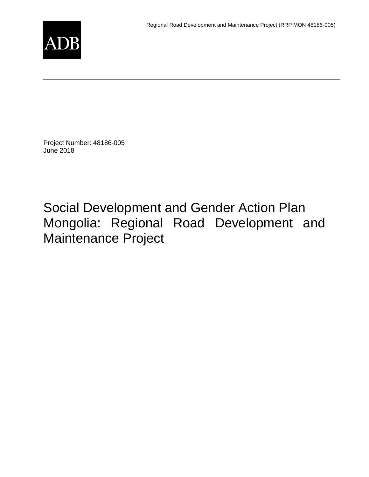

Project Number: 48186-005 June 2018

[Social Development and Gender Action Plan](http://www.adb.org/Documents/RRPs/?id=48186-005-3)  [Mongolia: Regional Road Development and](http://www.adb.org/Documents/RRPs/?id=48186-005-3)  [Maintenance Project](http://www.adb.org/Documents/RRPs/?id=48186-005-3)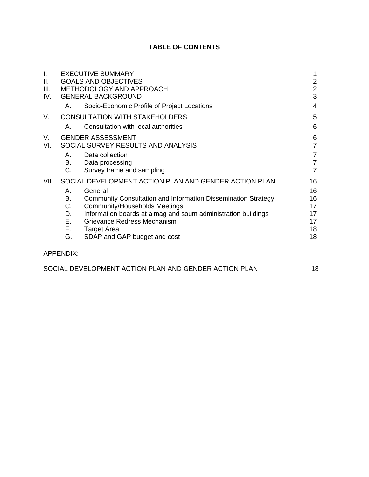# **TABLE OF CONTENTS**

| $\mathbf{L}$ |                  | <b>EXECUTIVE SUMMARY</b>                                             | 1               |
|--------------|------------------|----------------------------------------------------------------------|-----------------|
| II.          |                  | <b>GOALS AND OBJECTIVES</b>                                          |                 |
| III.         |                  | METHODOLOGY AND APPROACH                                             | $\frac{2}{2}$   |
| IV.          |                  | <b>GENERAL BACKGROUND</b>                                            | 3               |
|              | А.               | Socio-Economic Profile of Project Locations                          | 4               |
| V.           |                  | <b>CONSULTATION WITH STAKEHOLDERS</b>                                | 5               |
|              | Α.               | Consultation with local authorities                                  | $6\phantom{1}6$ |
| V.           |                  | <b>GENDER ASSESSMENT</b>                                             | $6\phantom{1}6$ |
| VI.          |                  | SOCIAL SURVEY RESULTS AND ANALYSIS                                   | $\overline{7}$  |
|              | А.               | Data collection                                                      | $\overline{7}$  |
|              | B.               | Data processing                                                      | $\overline{7}$  |
|              | C.               | Survey frame and sampling                                            | $\overline{7}$  |
| VII.         |                  | SOCIAL DEVELOPMENT ACTION PLAN AND GENDER ACTION PLAN                | 16              |
|              | А.               | General                                                              | 16              |
|              | В.               | <b>Community Consultation and Information Dissemination Strategy</b> | 16              |
|              | C.               | <b>Community/Households Meetings</b>                                 | 17              |
|              | D.               | Information boards at aimag and soum administration buildings        | 17              |
|              | Е.               | Grievance Redress Mechanism                                          | 17              |
|              | F.               | <b>Target Area</b>                                                   | 18              |
|              | G.               | SDAP and GAP budget and cost                                         | 18              |
|              | <b>APPENDIX:</b> |                                                                      |                 |

| SOCIAL DEVELOPMENT ACTION PLAN AND GENDER ACTION PLAN |  |
|-------------------------------------------------------|--|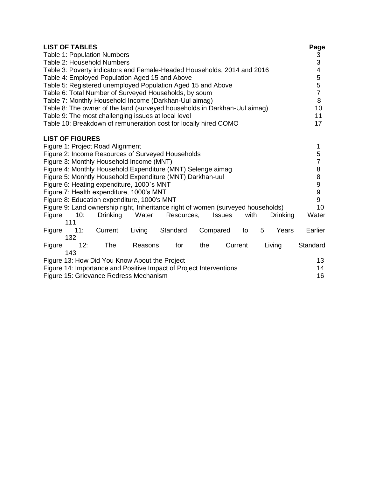|                                                                                                                                                                                                                                                                                                                                                                                                                                                                                                                                                                                                                                                                                                       | <b>LIST OF TABLES</b> | Table 1: Population Numbers<br>Table 2: Household Numbers |         | Table 3: Poverty indicators and Female-Headed Households, 2014 and 2016<br>Table 4: Employed Population Aged 15 and Above<br>Table 5: Registered unemployed Population Aged 15 and Above<br>Table 6: Total Number of Surveyed Households, by soum<br>Table 7: Monthly Household Income (Darkhan-Uul aimag)<br>Table 8: The owner of the land (surveyed households in Darkhan-Uul aimag)<br>Table 9: The most challenging issues at local level |          |                |                                                                                                      |   |        | Page<br>$\frac{3}{3}$<br>$\overline{\mathbf{4}}$<br>5<br>5<br>$\overline{7}$<br>8<br>10<br>11 |
|-------------------------------------------------------------------------------------------------------------------------------------------------------------------------------------------------------------------------------------------------------------------------------------------------------------------------------------------------------------------------------------------------------------------------------------------------------------------------------------------------------------------------------------------------------------------------------------------------------------------------------------------------------------------------------------------------------|-----------------------|-----------------------------------------------------------|---------|------------------------------------------------------------------------------------------------------------------------------------------------------------------------------------------------------------------------------------------------------------------------------------------------------------------------------------------------------------------------------------------------------------------------------------------------|----------|----------------|------------------------------------------------------------------------------------------------------|---|--------|-----------------------------------------------------------------------------------------------|
|                                                                                                                                                                                                                                                                                                                                                                                                                                                                                                                                                                                                                                                                                                       |                       |                                                           |         |                                                                                                                                                                                                                                                                                                                                                                                                                                                |          |                |                                                                                                      |   |        | 17                                                                                            |
| Table 10: Breakdown of remuneraition cost for locally hired COMO<br><b>LIST OF FIGURES</b><br>Figure 1: Project Road Alignment<br>Figure 2: Income Resources of Surveyed Households<br>Figure 3: Monthly Household Income (MNT)<br>Figure 4: Monthly Household Expenditure (MNT) Selenge aimag<br>Figure 5: Monhtly Household Expenditure (MNT) Darkhan-uul<br>Figure 6: Heating expenditure, 1000`s MNT<br>Figure 7: Health expenditure, 1000's MNT<br>Figure 8: Education expenditure, 1000's MNT<br>Figure 9: Land ownership right, Inheritance right of women (surveyed households)<br>Figure<br>10:<br><b>Drinking</b><br>Water<br>Resources,<br>with<br><b>Drinking</b><br><b>Issues</b><br>111 |                       |                                                           |         |                                                                                                                                                                                                                                                                                                                                                                                                                                                |          |                | 1<br>5<br>$\overline{7}$<br>$\bf 8$<br>8<br>$\boldsymbol{9}$<br>$\boldsymbol{9}$<br>9<br>10<br>Water |   |        |                                                                                               |
| Figure                                                                                                                                                                                                                                                                                                                                                                                                                                                                                                                                                                                                                                                                                                | 11:                   | Current                                                   | Living  | Standard                                                                                                                                                                                                                                                                                                                                                                                                                                       | Compared |                | to                                                                                                   | 5 | Years  | Earlier                                                                                       |
| Figure                                                                                                                                                                                                                                                                                                                                                                                                                                                                                                                                                                                                                                                                                                | 132<br>12:<br>143     | <b>The</b>                                                | Reasons | for                                                                                                                                                                                                                                                                                                                                                                                                                                            | the      | Current        |                                                                                                      |   | Living | Standard                                                                                      |
| Figure 13: How Did You Know About the Project<br>Figure 14: Importance and Positive Impact of Project Interventions<br>Figure 15: Grievance Redress Mechanism                                                                                                                                                                                                                                                                                                                                                                                                                                                                                                                                         |                       |                                                           |         |                                                                                                                                                                                                                                                                                                                                                                                                                                                |          | 13<br>14<br>16 |                                                                                                      |   |        |                                                                                               |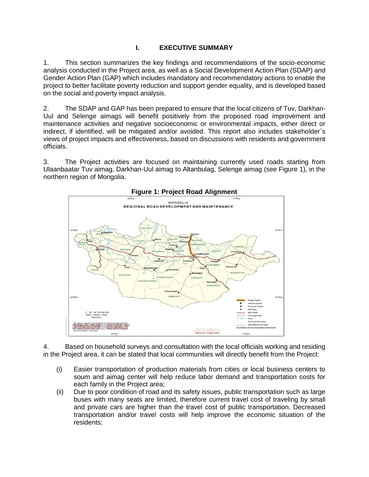## <span id="page-6-0"></span>**I. EXECUTIVE SUMMARY**

1. This section summarizes the key findings and recommendations of the socio-economic analysis conducted in the Project area, as well as a Social Development Action Plan (SDAP) and Gender Action Plan (GAP) which includes mandatory and recommendatory actions to enable the project to better facilitate poverty reduction and support gender equality, and is developed based on the social and poverty impact analysis.

2. The SDAP and GAP has been prepared to ensure that the local citizens of Tuv, Darkhan-Uul and Selenge aimags will benefit positively from the proposed road improvement and maintenance activities and negative socioeconomic or environmental impacts, either direct or indirect, if identified, will be mitigated and/or avoided. This report also includes stakeholder`s views of project impacts and effectiveness, based on discussions with residents and government officials.

3. The Project activities are focused on maintaining currently used roads starting from Ulaanbaatar Tuv aimag, Darkhan-Uul aimag to Altanbulag, Selenge aimag (see Figure 1), in the northern region of Mongolia.



**Figure 1: Project Road Alignment**

4. Based on household surveys and consultation with the local officials working and residing in the Project area, it can be stated that local communities will directly benefit from the Project:

- (i) Easier transportation of production materials from cities or local business centers to soum and aimag center will help reduce labor demand and transportation costs for each family in the Project area;
- (ii) Due to poor condition of road and its safety issues, public transportation such as large buses with many seats are limited, therefore current travel cost of traveling by small and private cars are higher than the travel cost of public transportation. Decreased transportation and/or travel costs will help improve the economic situation of the residents;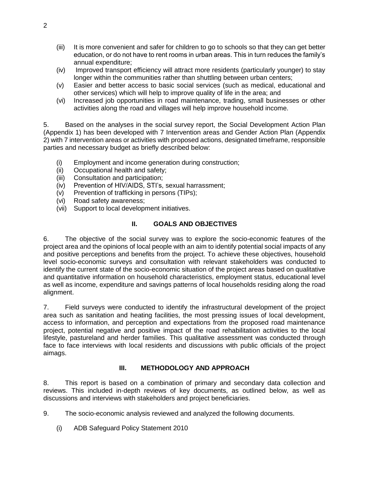- (iii) It is more convenient and safer for children to go to schools so that they can get better education, or do not have to rent rooms in urban areas. This in turn reduces the family's annual expenditure;
- (iv) Improved transport efficiency will attract more residents (particularly younger) to stay longer within the communities rather than shuttling between urban centers;
- (v) Easier and better access to basic social services (such as medical, educational and other services) which will help to improve quality of life in the area; and
- (vi) Increased job opportunities in road maintenance, trading, small businesses or other activities along the road and villages will help improve household income.

5. Based on the analyses in the social survey report, the Social Development Action Plan (Appendix 1) has been developed with 7 Intervention areas and Gender Action Plan (Appendix 2) with 7 intervention areas or activities with proposed actions, designated timeframe, responsible parties and necessary budget as briefly described below:

- (i) Employment and income generation during construction;
- (ii) Occupational health and safety;
- (iii) Consultation and participation;
- (iv) Prevention of HIV/AIDS, STI's, sexual harrassment;
- (v) Prevention of trafficking in persons (TIPs);
- (vi) Road safety awareness;
- (vii) Support to local development initiatives.

#### **II. GOALS AND OBJECTIVES**

<span id="page-7-0"></span>6. The objective of the social survey was to explore the socio-economic features of the project area and the opinions of local people with an aim to identify potential social impacts of any and positive perceptions and benefits from the project. To achieve these objectives, household level socio-economic surveys and consultation with relevant stakeholders was conducted to identify the current state of the socio-economic situation of the project areas based on qualitative and quantitative information on household characteristics, employment status, educational level as well as income, expenditure and savings patterns of local households residing along the road alignment.

7. Field surveys were conducted to identify the infrastructural development of the project area such as sanitation and heating facilities, the most pressing issues of local development, access to information, and perception and expectations from the proposed road maintenance project, potential negative and positive impact of the road rehabilitation activities to the local lifestyle, pastureland and herder families. This qualitative assessment was conducted through face to face interviews with local residents and discussions with public officials of the project aimags.

#### **III. METHODOLOGY AND APPROACH**

<span id="page-7-1"></span>8. This report is based on a combination of primary and secondary data collection and reviews. This included in-depth reviews of key documents, as outlined below, as well as discussions and interviews with stakeholders and project beneficiaries.

9. The socio-economic analysis reviewed and analyzed the following documents.

(i) ADB Safeguard Policy Statement 2010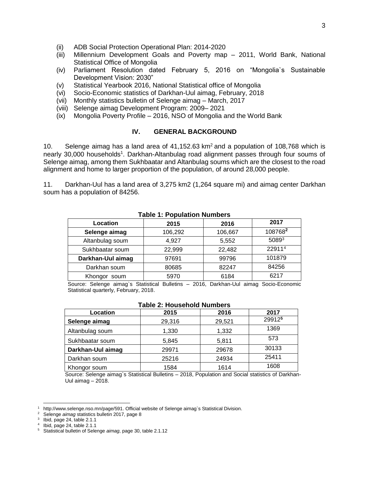- (ii) ADB Social Protection Operational Plan: 2014-2020
- (iii) Millennium Development Goals and Poverty map 2011, World Bank, National Statistical Office of Mongolia
- (iv) Parliament Resolution dated February 5, 2016 on "Mongolia`s Sustainable Development Vision: 2030"
- (v) Statistical Yearbook 2016, National Statistical office of Mongolia
- (vi) Socio-Economic statistics of Darkhan-Uul aimag, February, 2018
- (vii) Monthly statistics bulletin of Selenge aimag March, 2017
- (viii) Selenge aimag Development Program: 2009– 2021
- (ix) Mongolia Poverty Profile 2016, NSO of Mongolia and the World Bank

#### **IV. GENERAL BACKGROUND**

<span id="page-8-0"></span>10. Selenge aimag has a land area of  $41,152.63$  km<sup>2</sup> and a population of 108,768 which is nearly 30,000 households<sup>1</sup>. Darkhan-Altanbulag road alignment passes through four soums of Selenge aimag, among them Sukhbaatar and Altanbulag soums which are the closest to the road alignment and home to larger proportion of the population, of around 28,000 people.

11. Darkhan-Uul has a land area of 3,275 km2 (1,264 square mi) and aimag center Darkhan soum has a population of 84256.

| Table T. Fobulation Numbers |         |         |         |  |  |
|-----------------------------|---------|---------|---------|--|--|
| Location                    | 2015    | 2016    | 2017    |  |  |
| Selenge aimag               | 106,292 | 106,667 | 1087682 |  |  |
| Altanbulag soum             | 4,927   | 5,552   | 50893   |  |  |
| Sukhbaatar soum             | 22,999  | 22,482  | 229114  |  |  |
| Darkhan-Uul aimag           | 97691   | 99796   | 101879  |  |  |
| Darkhan soum                | 80685   | 82247   | 84256   |  |  |
| Khongor soum                | 5970    | 6184    | 6217    |  |  |

#### **Table 1: Population Numbers**

Source: Selenge aimag`s Statistical Bulletins – 2016, Darkhan-Uul aimag Socio-Economic Statistical quarterly, February, 2018.

#### **Table 2: Household Numbers**

| Location          | 2015   | 2016   | 2017   |
|-------------------|--------|--------|--------|
| Selenge aimag     | 29,316 | 29,521 | 299125 |
| Altanbulag soum   | 1,330  | 1,332  | 1369   |
| Sukhbaatar soum   | 5,845  | 5,811  | 573    |
| Darkhan-Uul aimag | 29971  | 29678  | 30133  |
| Darkhan soum      | 25216  | 24934  | 25411  |
| Khongor soum      | 1584   | 1614   | 1608   |

Source: Selenge aimag`s Statistical Bulletins – 2018, Population and Social statistics of Darkhan-Uul aimag  $-2018$ .

 [http://www.selenge.nso.mn/page/591.](http://www.selenge.nso.mn/page/591) Official website of Selenge aimag`s Statistical Division.

<sup>2</sup> Selenge *aimag* statistics bulletin 2017, page 8

 $3$  Ibid, page 24, table 2.1.1

<sup>4</sup> Ibid, page 24, table 2.1.1

<sup>5</sup> Statistical bulletin of Selenge *aimag*, page 30, table 2.1.12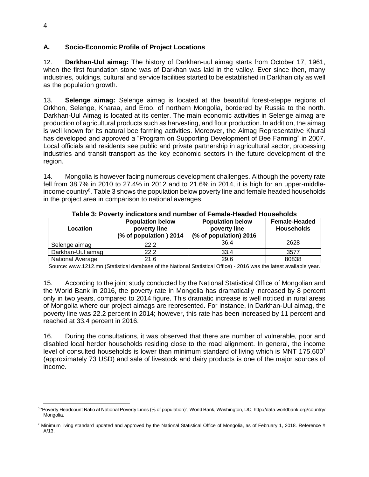#### <span id="page-9-0"></span>**A. Socio-Economic Profile of Project Locations**

12. **Darkhan-Uul aimag:** The history of Darkhan-uul aimag starts from October 17, 1961, when the first foundation stone was of Darkhan was laid in the valley. Ever since then, many industries, buldings, cultural and service facilities started to be established in Darkhan city as well as the population growth.

13. **Selenge aimag:** Selenge aimag is located at the beautiful forest-steppe regions of Orkhon, Selenge, Kharaa, and Eroo, of northern Mongolia, bordered by Russia to the north. Darkhan-Uul Aimag is located at its center. The main economic activities in Selenge aimag are production of agricultural products such as harvesting, and flour production. In addition, the aimag is well known for its natural bee farming activities. Moreover, the Aimag Representative Khural has developed and approved a "Program on Supporting Development of Bee Farming" in 2007. Local officials and residents see public and private partnership in agricultural sector, processing industries and transit transport as the key economic sectors in the future development of the region.

14. Mongolia is however facing numerous development challenges. Although the poverty rate fell from 38.7% in 2010 to 27.4% in 2012 and to 21.6% in 2014, it is high for an upper-middle-income country<sup>6</sup>. [Table 3](#page-9-1) shows the population below poverty line and female headed households in the project area in comparison to national averages.

<span id="page-9-1"></span>

| Location          | <b>Population below</b><br>poverty line<br>(% of population) 2014 | <b>Population below</b><br>poverty line<br>(% of population) 2016 | <b>Female-Headed</b><br><b>Households</b> |
|-------------------|-------------------------------------------------------------------|-------------------------------------------------------------------|-------------------------------------------|
| Selenge aimag     | 22.2                                                              | 36.4                                                              | 2628                                      |
| Darkhan-Uul aimag | 22.2                                                              | 33.4                                                              | 3577                                      |
| National Average  | 21.6                                                              | 29.6                                                              | 80838                                     |

**Table 3: Poverty indicators and number of Female-Headed Households**

Source: [www.1212.mn](http://www.1212.mn/) (Statistical database of the National Statistical Office) - 2016 was the latest available year.

15. According to the joint study conducted by the National Statistical Office of Mongolian and the World Bank in 2016, the poverty rate in Mongolia has dramatically increased by 8 percent only in two years, compared to 2014 figure. This dramatic increase is well noticed in rural areas of Mongolia where our project aimags are represented. For instance, in Darkhan-Uul aimag, the poverty line was 22.2 percent in 2014; however, this rate has been increased by 11 percent and reached at 33.4 percent in 2016.

16. During the consultations, it was observed that there are number of vulnerable, poor and disabled local herder households residing close to the road alignment. In general, the income level of consulted households is lower than minimum standard of living which is MNT 175,600<sup>7</sup> (approximately 73 USD) and sale of livestock and dairy products is one of the major sources of income.

 6 "Poverty Headcount Ratio at National Poverty Lines (% of population)", World Bank, Washington, DC, http://data.worldbank.org/country/ Mongolia.

 $7$  Minimum living standard updated and approved by the National Statistical Office of Mongolia, as of February 1, 2018. Reference # A/13.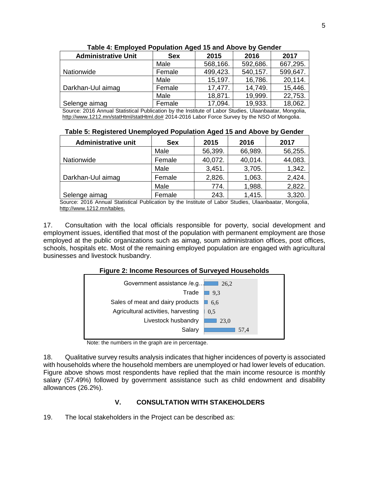| <b>Administrative Unit</b>                                                                          | <b>Sex</b> | 2015     | 2016     | 2017     |  |
|-----------------------------------------------------------------------------------------------------|------------|----------|----------|----------|--|
|                                                                                                     | Male       | 568,166. | 592,686. | 667,295. |  |
| Nationwide                                                                                          | Female     | 499,423. | 540,157. | 599,647. |  |
|                                                                                                     | Male       | 15,197.  | 16,786.  | 20,114.  |  |
| Darkhan-Uul aimag                                                                                   | Female     | 17,477.  | 14,749.  | 15,446.  |  |
|                                                                                                     | Male       | 18,871.  | 19,999.  | 22,753.  |  |
| Selenge aimag                                                                                       | Female     | 17,094.  | 19,933.  | 18,062.  |  |
| Course 2016 Annual Ctatistical Dublication by the Institute of Labor Ctudies, Ulgarbacter, Manaelia |            |          |          |          |  |

**Table 4: Employed Population Aged 15 and Above by Gender**

Source: 2016 Annual Statistical Publication by the Institute of Labor Studies, Ulaanbaatar, Mongolia, [http://www.1212.mn/statHtml/statHtml.do#](http://www.1212.mn/statHtml/statHtml.do) 2014-2016 Labor Force Survey by the NSO of Mongolia.

**Table 5: Registered Unemployed Population Aged 15 and Above by Gender**

| <b>Administrative unit</b> | <b>Sex</b> | 2015    | 2016    | 2017    |
|----------------------------|------------|---------|---------|---------|
|                            | Male       | 56,399. | 66,989. | 56,255. |
| Nationwide                 | Female     | 40,072. | 40,014. | 44,083. |
|                            | Male       | 3,451.  | 3,705.  | 1,342.  |
| Darkhan-Uul aimag          | Female     | 2,826.  | 1,063.  | 2,424.  |
|                            | Male       | 774.    | 1,988.  | 2,822.  |
| Selenge aimag              | Female     | 243.    | 1,415.  | 3,320.  |

Source: 2016 Annual Statistical Publication by the Institute of Labor Studies, Ulaanbaatar, Mongolia, [http://www.1212.mn/tables.](http://www.1212.mn/tables)

17. Consultation with the local officials responsible for poverty, social development and employment issues, identified that most of the population with permanent employment are those employed at the public organizations such as aimag, soum administration offices, post offices, schools, hospitals etc. Most of the remaining employed population are engaged with agricultural businesses and livestock husbandry.

#### **Figure 2: Income Resources of Surveyed Households**

<span id="page-10-1"></span>

Note: the numbers in the graph are in percentage.

18. Qualitative survey results analysis indicates that higher incidences of poverty is associated with households where the household members are unemployed or had lower levels of education. [Figure](#page-10-1) above shows most respondents have replied that the main income resource is monthly salary (57.49%) followed by government assistance such as child endowment and disability allowances (26.2%).

## **V. CONSULTATION WITH STAKEHOLDERS**

<span id="page-10-0"></span>19. The local stakeholders in the Project can be described as: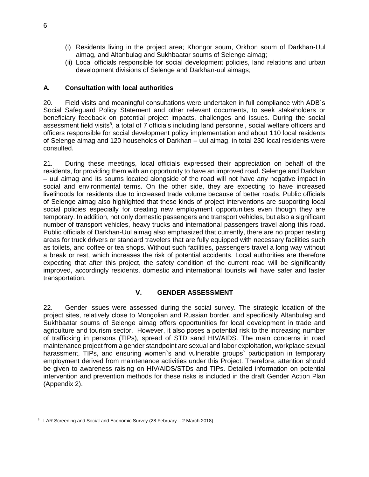- (i) Residents living in the project area; Khongor soum, Orkhon soum of Darkhan-Uul aimag, and Altanbulag and Sukhbaatar soums of Selenge aimag;
- (ii) Local officials responsible for social development policies, land relations and urban development divisions of Selenge and Darkhan-uul aimags;

#### <span id="page-11-0"></span>**A. Consultation with local authorities**

20. Field visits and meaningful consultations were undertaken in full compliance with ADB`s Social Safeguard Policy Statement and other relevant documents, to seek stakeholders or beneficiary feedback on potential project impacts, challenges and issues. During the social assessment field visits<sup>8</sup>, a total of 7 officials including land personnel, social welfare officers and officers responsible for social development policy implementation and about 110 local residents of Selenge aimag and 120 households of Darkhan – uul aimag, in total 230 local residents were consulted.

21. During these meetings, local officials expressed their appreciation on behalf of the residents, for providing them with an opportunity to have an improved road. Selenge and Darkhan – uul aimag and its soums located alongside of the road will not have any negative impact in social and environmental terms. On the other side, they are expecting to have increased livelihoods for residents due to increased trade volume because of better roads. Public officials of Selenge aimag also highlighted that these kinds of project interventions are supporting local social policies especially for creating new employment opportunities even though they are temporary. In addition, not only domestic passengers and transport vehicles, but also a significant number of transport vehicles, heavy trucks and international passengers travel along this road. Public officials of Darkhan-Uul aimag also emphasized that currently, there are no proper resting areas for truck drivers or standard travelers that are fully equipped with necessary facilities such as toilets, and coffee or tea shops. Without such facilities, passengers travel a long way without a break or rest, which increases the risk of potential accidents. Local authorities are therefore expecting that after this project, the safety condition of the current road will be significantly improved, accordingly residents, domestic and international tourists will have safer and faster transportation.

#### **V. GENDER ASSESSMENT**

<span id="page-11-1"></span>22. Gender issues were assessed during the social survey. The strategic location of the project sites, relatively close to Mongolian and Russian border, and specifically Altanbulag and Sukhbaatar soums of Selenge aimag offers opportunities for local development in trade and agriculture and tourism sector. However, it also poses a potential risk to the increasing number of trafficking in persons (TIPs), spread of STD sand HIV/AIDS. The main concerns in road maintenance project from a gender standpoint are sexual and labor exploitation, workplace sexual harassment, TIPs, and ensuring women's and vulnerable groups' participation in temporary employment derived from maintenance activities under this Project. Therefore, attention should be given to awareness raising on HIV/AIDS/STDs and TIPs. Detailed information on potential intervention and prevention methods for these risks is included in the draft Gender Action Plan (Appendix 2).

 $\overline{a}$  $8$  LAR Screening and Social and Economic Survey (28 February  $-$  2 March 2018).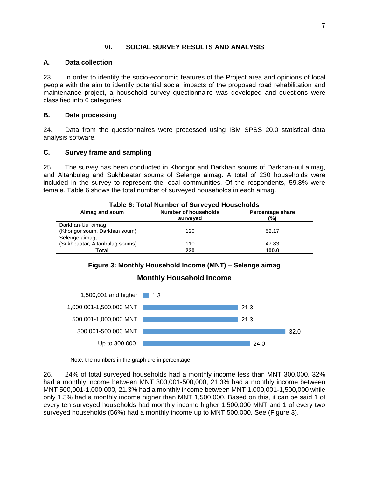#### **VI. SOCIAL SURVEY RESULTS AND ANALYSIS**

#### <span id="page-12-1"></span><span id="page-12-0"></span>**A. Data collection**

23. In order to identify the socio-economic features of the Project area and opinions of local people with the aim to identify potential social impacts of the proposed road rehabilitation and maintenance project, a household survey questionnaire was developed and questions were classified into 6 categories.

#### <span id="page-12-2"></span>**B. Data processing**

24. Data from the questionnaires were processed using IBM SPSS 20.0 statistical data analysis software.

#### <span id="page-12-3"></span>**C. Survey frame and sampling**

25. The survey has been conducted in Khongor and Darkhan soums of Darkhan-uul aimag, and Altanbulag and Sukhbaatar soums of Selenge aimag. A total of 230 households were included in the survey to represent the local communities. Of the respondents, 59.8% were female. Table 6 shows the total number of surveyed households in each aimag.

| Aimag and soum                 | <b>Number of households</b><br>surveyed | <b>Percentage share</b><br>$\frac{1}{2}$ |
|--------------------------------|-----------------------------------------|------------------------------------------|
| Darkhan-Uul aimag              |                                         |                                          |
| (Khongor soum, Darkhan soum)   | 120                                     | 52.17                                    |
| Selenge aimag,                 |                                         |                                          |
| (Sukhbaatar, Altanbulag soums) | 110                                     | 47.83                                    |
| Total                          | 230                                     | 100.0                                    |

#### **Table 6: Total Number of Surveyed Households**





Note: the numbers in the graph are in percentage.

26. 24% of total surveyed households had a monthly income less than MNT 300,000, 32% had a monthly income between MNT 300,001-500,000, 21.3% had a monthly income between MNT 500,001-1,000,000, 21.3% had a monthly income between MNT 1,000,001-1,500,000 while only 1.3% had a monthly income higher than MNT 1,500,000. Based on this, it can be said 1 of every ten surveyed households had monthly income higher 1,500,000 MNT and 1 of every two surveyed households (56%) had a monthly income up to MNT 500.000. See [\(Figure](#page-13-0) 3).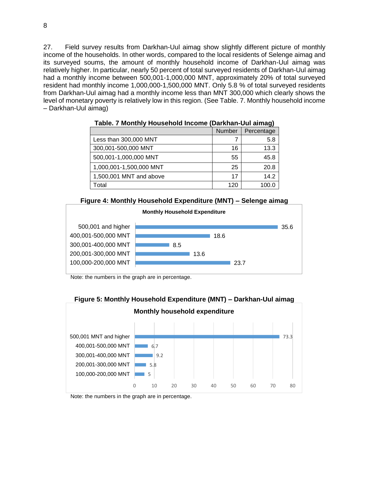27. Field survey results from Darkhan-Uul aimag show slightly different picture of monthly income of the households. In other words, compared to the local residents of Selenge aimag and its surveyed soums, the amount of monthly household income of Darkhan-Uul aimag was relatively higher. In particular, nearly 50 percent of total surveyed residents of Darkhan-Uul aimag had a monthly income between 500,001-1,000,000 MNT, approximately 20% of total surveyed resident had monthly income 1,000,000-1,500,000 MNT. Only 5.8 % of total surveyed residents from Darkhan-Uul aimag had a monthly income less than MNT 300,000 which clearly shows the level of monetary poverty is relatively low in this region. (See Table. 7. Monthly household income – Darkhan-Uul aimag)

|                         |        | -- 97      |
|-------------------------|--------|------------|
|                         | Number | Percentage |
| Less than 300,000 MNT   |        | 5.8        |
| 300,001-500,000 MNT     | 16     | 13.3       |
| 500,001-1,000,000 MNT   | 55     | 45.8       |
| 1,000,001-1,500,000 MNT | 25     | 20.8       |
| 1,500,001 MNT and above | 17     | 14.2       |
| Total                   | 120    | 100.0      |

**Table. 7 Monthly Household Income (Darkhan-Uul aimag)**



<span id="page-13-0"></span>

Note: the numbers in the graph are in percentage.



**Figure 5: Monthly Household Expenditure (MNT) – Darkhan-Uul aimag**

Note: the numbers in the graph are in percentage.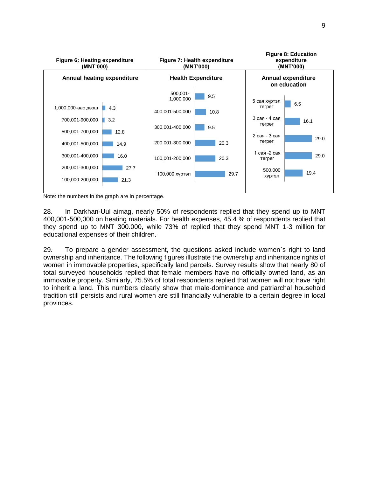

Note: the numbers in the graph are in percentage.

28. In Darkhan-Uul aimag, nearly 50% of respondents replied that they spend up to MNT 400,001-500,000 on heating materials. For health expenses, 45.4 % of respondents replied that they spend up to MNT 300.000, while 73% of replied that they spend MNT 1-3 million for educational expenses of their children.

29. To prepare a gender assessment, the questions asked include women`s right to land ownership and inheritance. The following figures illustrate the ownership and inheritance rights of women in immovable properties, specifically land parcels. Survey results show that nearly 80 of total surveyed households replied that female members have no officially owned land, as an immovable property. Similarly, 75.5% of total respondents replied that women will not have right to inherit a land. This numbers clearly show that male-dominance and patriarchal household tradition still persists and rural women are still financially vulnerable to a certain degree in local provinces.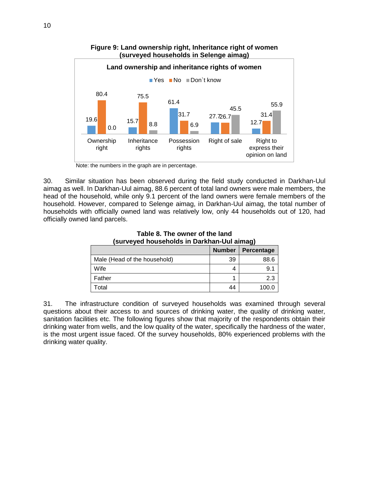

## **Figure 9: Land ownership right, Inheritance right of women (surveyed households in Selenge aimag)**

Note: the numbers in the graph are in percentage.

30. Similar situation has been observed during the field study conducted in Darkhan-Uul aimag as well. In Darkhan-Uul aimag, 88.6 percent of total land owners were male members, the head of the household, while only 9.1 percent of the land owners were female members of the household. However, compared to Selenge aimag, in Darkhan-Uul aimag, the total number of households with officially owned land was relatively low, only 44 households out of 120, had officially owned land parcels.

| -31                          |               |            |  |
|------------------------------|---------------|------------|--|
|                              | <b>Number</b> | Percentage |  |
| Male (Head of the household) | 39            | 88.6       |  |
| Wife                         |               | 9.1        |  |
| Father                       |               | 2.3        |  |
| Total                        | 44            | 100.0      |  |

**Table 8. The owner of the land (surveyed households in Darkhan-Uul aimag)**

31. The infrastructure condition of surveyed households was examined through several questions about their access to and sources of drinking water, the quality of drinking water, sanitation facilities etc. The following figures show that majority of the respondents obtain their drinking water from wells, and the low quality of the water, specifically the hardness of the water, is the most urgent issue faced. Of the survey households, 80% experienced problems with the drinking water quality.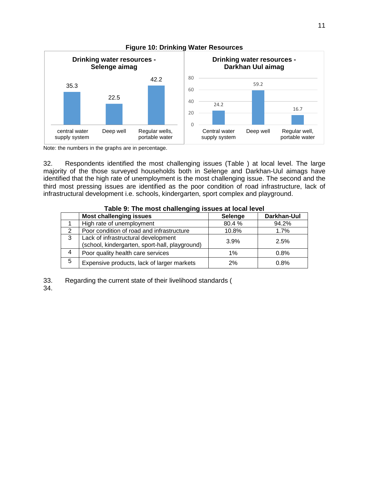

#### **Figure 10: Drinking Water Resources**

Note: the numbers in the graphs are in percentage.

32. Respondents identified the most challenging issues [\(Table \)](#page-16-0) at local level. The large majority of the those surveyed households both in Selenge and Darkhan-Uul aimags have identified that the high rate of unemployment is the most challenging issue. The second and the third most pressing issues are identified as the poor condition of road infrastructure, lack of infrastructural development i.e. schools, kindergarten, sport complex and playground.

|   | Table 5. The most challenging issues at local level                                   |         |             |  |  |  |
|---|---------------------------------------------------------------------------------------|---------|-------------|--|--|--|
|   | <b>Most challenging issues</b>                                                        | Selenge | Darkhan-Uul |  |  |  |
|   | High rate of unemployment                                                             | 80.4%   | 94.2%       |  |  |  |
|   | Poor condition of road and infrastructure                                             | 10.8%   | 1.7%        |  |  |  |
| 3 | Lack of infrastructural development<br>(school, kindergarten, sport-hall, playground) | 3.9%    | 2.5%        |  |  |  |
| 4 | Poor quality health care services                                                     | $1\%$   | 0.8%        |  |  |  |
| 5 | Expensive products, lack of larger markets                                            | 2%      | 0.8%        |  |  |  |

## <span id="page-16-0"></span>**Table 9: The most challenging issues at local level**

33. Regarding the current state of their livelihood standards [\(](#page-17-0)

[34.](#page-17-0)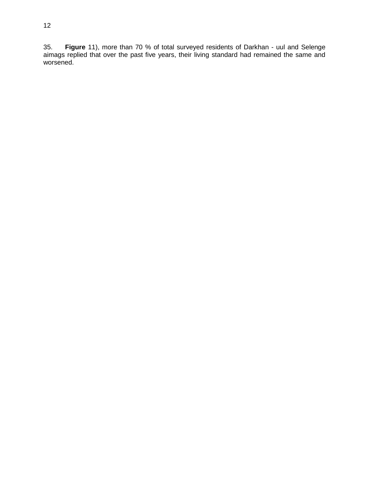<span id="page-17-0"></span>35. **[Figure](#page-17-0)** 11), more than 70 % of total surveyed residents of Darkhan - uul and Selenge aimags replied that over the past five years, their living standard had remained the same and worsened.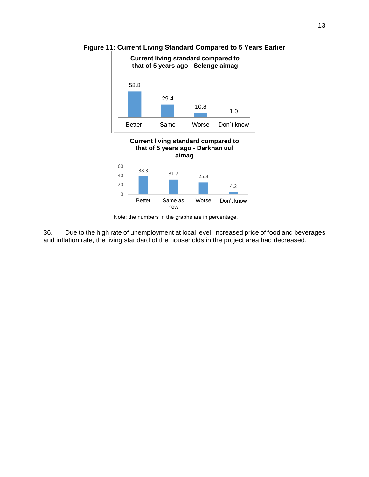

**Figure 11: Current Living Standard Compared to 5 Years Earlier**

36. Due to the high rate of unemployment at local level, increased price of food and beverages and inflation rate, the living standard of the households in the project area had decreased.

Note: the numbers in the graphs are in percentage.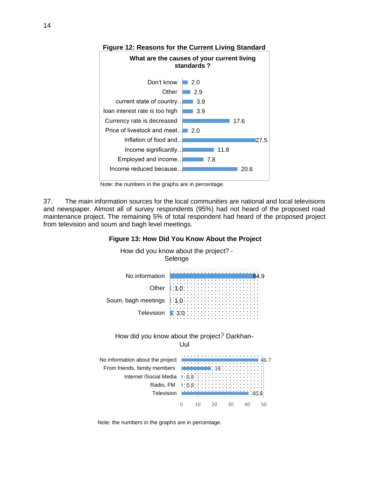





37. The main information sources for the local communities are national and local televisions and newspaper. Almost all of survey respondents (95%) had not heard of the proposed road maintenance project. The remaining 5% of total respondent had heard of the proposed project from television and soum and bagh level meetings.





Note: the numbers in the graphs are in percentage.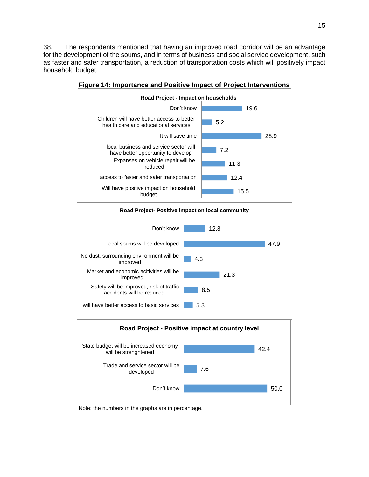38. The respondents mentioned that having an improved road corridor will be an advantage for the development of the soums, and in terms of business and social service development, such as faster and safer transportation, a reduction of transportation costs which will positively impact household budget.



**Figure 14: Importance and Positive Impact of Project Interventions**

Note: the numbers in the graphs are in percentage.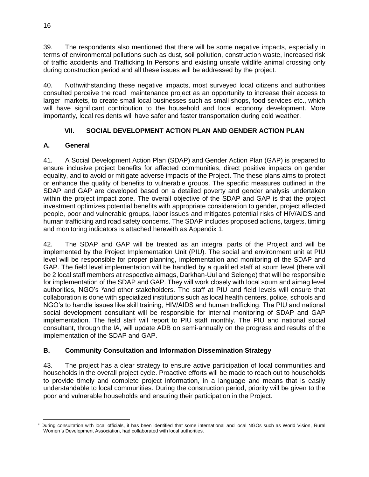39. The respondents also mentioned that there will be some negative impacts, especially in terms of environmental pollutions such as dust, soil pollution, construction waste, increased risk of traffic accidents and Trafficking In Persons and existing unsafe wildlife animal crossing only during construction period and all these issues will be addressed by the project.

40. Nothwithstanding these negative impacts, most surveyed local citizens and authorities consulted perceive the road maintenance project as an opportunity to increase their access to larger markets, to create small local businesses such as small shops, food services etc., which will have significant contribution to the household and local economy development. More importantly, local residents will have safer and faster transportation during cold weather.

# **VII. SOCIAL DEVELOPMENT ACTION PLAN AND GENDER ACTION PLAN**

# <span id="page-21-1"></span><span id="page-21-0"></span>**A. General**

41. A Social Development Action Plan (SDAP) and Gender Action Plan (GAP) is prepared to ensure inclusive project benefits for affected communities, direct positive impacts on gender equality, and to avoid or mitigate adverse impacts of the Project. The these plans aims to protect or enhance the quality of benefits to vulnerable groups. The specific measures outlined in the SDAP and GAP are developed based on a detailed poverty and gender analysis undertaken within the project impact zone. The overall objective of the SDAP and GAP is that the project investment optimizes potential benefits with appropriate consideration to gender, project affected people, poor and vulnerable groups, labor issues and mitigates potential risks of HIV/AIDS and human trafficking and road safety concerns. The SDAP includes proposed actions, targets, timing and monitoring indicators is attached herewith as Appendix 1.

42. The SDAP and GAP will be treated as an integral parts of the Project and will be implemented by the Project Implementation Unit (PIU). The social and environment unit at PIU level will be responsible for proper planning, implementation and monitoring of the SDAP and GAP. The field level implementation will be handled by a qualified staff at soum level (there will be 2 local staff members at respective aimags, Darkhan-Uul and Selenge) that will be responsible for implementation of the SDAP and GAP. They will work closely with local soum and aimag level authorities, NGO's <sup>9</sup>and other stakeholders. The staff at PIU and field levels will ensure that collaboration is done with specialized institutions such as local health centers, police, schools and NGO's to handle issues like skill training, HIV/AIDS and human trafficking. The PIU and national social development consultant will be responsible for internal monitoring of SDAP and GAP implementation. The field staff will report to PIU staff monthly. The PIU and national social consultant, through the IA, will update ADB on semi-annually on the progress and results of the implementation of the SDAP and GAP.

## <span id="page-21-2"></span>**B. Community Consultation and Information Dissemination Strategy**

43. The project has a clear strategy to ensure active participation of local communities and households in the overall project cycle. Proactive efforts will be made to reach out to households to provide timely and complete project information, in a language and means that is easily understandable to local communities. During the construction period, priority will be given to the poor and vulnerable households and ensuring their participation in the Project.

 <sup>9</sup> During consultation with local officials, it has been identified that some international and local NGOs such as World Vision, Rural Women`s Development Association, had collaborated with local authorities.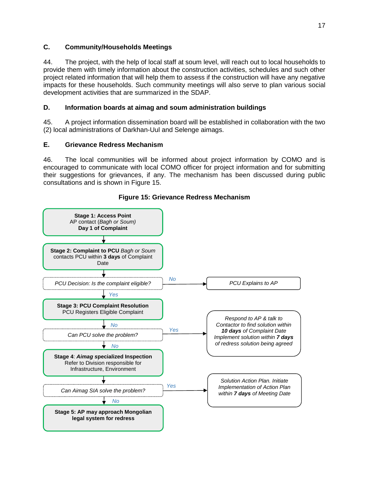### <span id="page-22-0"></span>**C. Community/Households Meetings**

44. The project, with the help of local staff at soum level, will reach out to local households to provide them with timely information about the construction activities, schedules and such other project related information that will help them to assess if the construction will have any negative impacts for these households. Such community meetings will also serve to plan various social development activities that are summarized in the SDAP.

## <span id="page-22-1"></span>**D. Information boards at aimag and soum administration buildings**

45. A project information dissemination board will be established in collaboration with the two (2) local administrations of Darkhan-Uul and Selenge aimags.

#### <span id="page-22-2"></span>**E. Grievance Redress Mechanism**

46. The local communities will be informed about project information by COMO and is encouraged to communicate with local COMO officer for project information and for submitting their suggestions for grievances, if any. The mechanism has been discussed during public consultations and is shown in Figure 15.



#### **Figure 15: Grievance Redress Mechanism**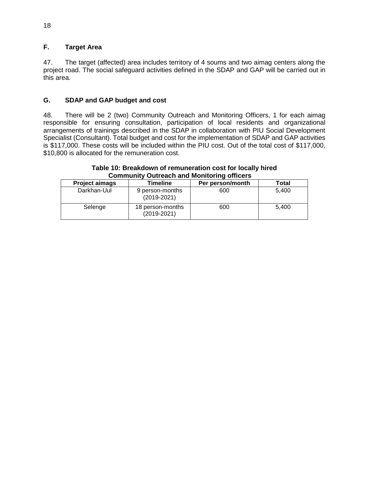# <span id="page-23-0"></span>**F. Target Area**

47. The target (affected) area includes territory of 4 soums and two aimag centers along the project road. The social safeguard activities defined in the SDAP and GAP will be carried out in this area.

#### <span id="page-23-1"></span>**G. SDAP and GAP budget and cost**

48. There will be 2 (two) Community Outreach and Monitoring Officers, 1 for each aimag responsible for ensuring consultation, participation of local residents and organizational arrangements of trainings described in the SDAP in collaboration with PIU Social Development Specialist (Consultant). Total budget and cost for the implementation of SDAP and GAP activities is \$117,000. These costs will be included within the PIU cost. Out of the total cost of \$117,000, \$10,800 is allocated for the remuneration cost.

#### **Table 10: Breakdown of remuneration cost for locally hired Community Outreach and Monitoring officers**

| <b>Project aimags</b> | Timeline                            | Per person/month | Total |  |  |
|-----------------------|-------------------------------------|------------------|-------|--|--|
| Darkhan-Uul           | 9 person-months<br>$(2019 - 2021)$  | 600              | 5.400 |  |  |
| Selenge               | 18 person-months<br>$(2019 - 2021)$ | 600              | 5.400 |  |  |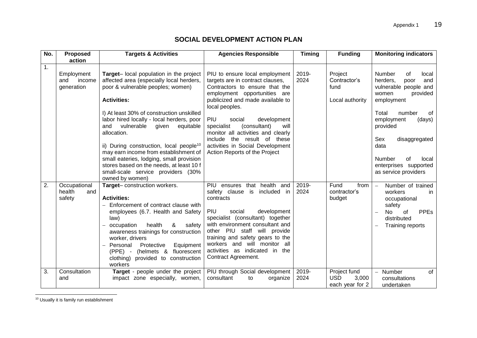# **SOCIAL DEVELOPMENT ACTION PLAN**

| No.            | <b>Proposed</b>                           | <b>Targets &amp; Activities</b>                                                                                                                                                                                                                                                                                                                                                                                                                                                                                                                    | <b>Timing</b><br><b>Agencies Responsible</b>                                                                                                                                                                                                                                                                                                                                                               |               | <b>Funding</b>                                         | <b>Monitoring indicators</b>                                                                                                                                                                                                                                                               |
|----------------|-------------------------------------------|----------------------------------------------------------------------------------------------------------------------------------------------------------------------------------------------------------------------------------------------------------------------------------------------------------------------------------------------------------------------------------------------------------------------------------------------------------------------------------------------------------------------------------------------------|------------------------------------------------------------------------------------------------------------------------------------------------------------------------------------------------------------------------------------------------------------------------------------------------------------------------------------------------------------------------------------------------------------|---------------|--------------------------------------------------------|--------------------------------------------------------------------------------------------------------------------------------------------------------------------------------------------------------------------------------------------------------------------------------------------|
|                | action                                    |                                                                                                                                                                                                                                                                                                                                                                                                                                                                                                                                                    |                                                                                                                                                                                                                                                                                                                                                                                                            |               |                                                        |                                                                                                                                                                                                                                                                                            |
| $\mathbf{1}$ . | Employment<br>and<br>income<br>generation | Target-local population in the project<br>affected area (especially local herders,<br>poor & vulnerable peoples; women)<br><b>Activities:</b><br>I) At least 30% of construction unskilled<br>labor hired locally - local herders, poor<br>vulnerable<br>given<br>equitable<br>and<br>allocation.<br>ii) During construction, local people <sup>10</sup><br>may earn income from establishment of<br>small eateries, lodging, small provision<br>stores based on the needs, at least 10 f<br>small-scale service providers (30%<br>owned by women) | PIU to ensure local employment<br>targets are in contract clauses,<br>Contractors to ensure that the<br>employment opportunities are<br>publicized and made available to<br>local peoples.<br>PIU<br>social<br>development<br>specialist<br>(consultant)<br>will<br>monitor all activities and clearly<br>include the result of these<br>activities in Social Development<br>Action Reports of the Project | 2019-<br>2024 | Project<br>Contractor's<br>fund<br>Local authority     | Number<br>0f<br>local<br>herders.<br>and<br>poor<br>vulnerable people and<br>provided<br>women<br>employment<br>Total<br>number<br>of<br>(days)<br>employment<br>provided<br>disaggregated<br>Sex<br>data<br><b>Number</b><br>of<br>local<br>enterprises supported<br>as service providers |
| 2.             | Occupational<br>health<br>and<br>safety   | Target-construction workers.<br><b>Activities:</b><br>- Enforcement of contract clause with<br>employees (6.7. Health and Safety<br>law)<br>health<br>&<br>occupation<br>safety<br>awareness trainings for construction<br>worker, drivers<br>- Personal<br>Protective<br>Equipment<br>(helmets & fluorescent<br>$(PPE) -$<br>clothing) provided to construction<br>workers                                                                                                                                                                        | that health<br>PIU ensures<br>and<br>safety clause<br>included in<br>is<br>contracts<br>PIU<br>social<br>development<br>specialist (consultant) together<br>with environment consultant and<br>other PIU staff will provide<br>training and safety gears to the<br>workers and will monitor all<br>activities as indicated in the<br>Contract Agreement.                                                   | 2019-<br>2024 | Fund<br>from<br>contractor's<br>budget                 | Number of trained<br>$\equiv$<br>workers<br>in<br>occupational<br>safety<br><b>PPEs</b><br>No<br>of<br>distributed<br>Training reports                                                                                                                                                     |
| 3.             | Consultation<br>and                       | Target - people under the project<br>impact zone especially, women,                                                                                                                                                                                                                                                                                                                                                                                                                                                                                | PIU through Social development<br>consultant<br>to<br>organize                                                                                                                                                                                                                                                                                                                                             | 2019-<br>2024 | Project fund<br><b>USD</b><br>3,000<br>each year for 2 | of<br>Number<br>$\overline{\phantom{0}}$<br>consultations<br>undertaken                                                                                                                                                                                                                    |

<sup>10</sup> Usually it is family run establishment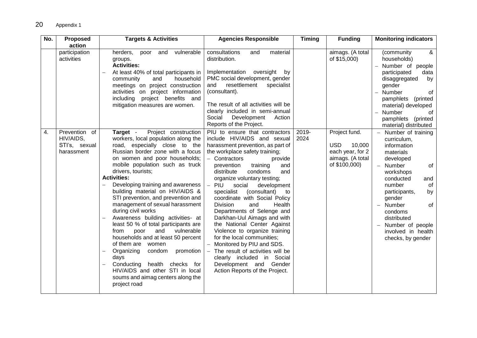| No. | <b>Proposed</b><br>action                                 | <b>Targets &amp; Activities</b>                                                                                                                                                                                                                                                                                                                                                                                                                                                                                                                                                                                                                                                                                                                                                          | <b>Agencies Responsible</b>                                                                                                                                                                                                                                                                                                                                                                                                                                                                                                                                                                                                                                                                                                     | <b>Timing</b> | <b>Funding</b>                                                                                 | <b>Monitoring indicators</b>                                                                                                                                                                                                                                                          |
|-----|-----------------------------------------------------------|------------------------------------------------------------------------------------------------------------------------------------------------------------------------------------------------------------------------------------------------------------------------------------------------------------------------------------------------------------------------------------------------------------------------------------------------------------------------------------------------------------------------------------------------------------------------------------------------------------------------------------------------------------------------------------------------------------------------------------------------------------------------------------------|---------------------------------------------------------------------------------------------------------------------------------------------------------------------------------------------------------------------------------------------------------------------------------------------------------------------------------------------------------------------------------------------------------------------------------------------------------------------------------------------------------------------------------------------------------------------------------------------------------------------------------------------------------------------------------------------------------------------------------|---------------|------------------------------------------------------------------------------------------------|---------------------------------------------------------------------------------------------------------------------------------------------------------------------------------------------------------------------------------------------------------------------------------------|
|     | participation<br>activities                               | and<br>vulnerable<br>herders,<br>poor<br>groups.<br><b>Activities:</b><br>At least 40% of total participants in<br>community<br>and<br>household<br>meetings on project construction<br>activities on project information<br>including project benefits and<br>mitigation measures are women.                                                                                                                                                                                                                                                                                                                                                                                                                                                                                            | consultations<br>material<br>and<br>distribution.<br>Implementation oversight<br>by<br>PMC social development, gender<br>resettlement<br>and<br>specialist<br>(consultant).<br>The result of all activities will be<br>clearly included in semi-annual<br>Social<br>Development<br>Action<br>Reports of the Project.                                                                                                                                                                                                                                                                                                                                                                                                            |               | aimags. (A total<br>of \$15,000)                                                               | &<br>(community<br>households)<br>Number of people<br>participated<br>data<br>disaggregated<br>by<br>gender<br>Number<br>of<br>pamphlets<br>(printed<br>material) developed<br>Number<br>of<br>pamphlets (printed<br>material) distributed                                            |
| 4.  | Prevention of<br>HIV/AIDS,<br>STI's, sexual<br>harassment | Target -<br>Project construction<br>workers, local population along the<br>road, especially close to the<br>Russian border zone with a focus<br>on women and poor households;<br>mobile population such as truck<br>drivers, tourists;<br><b>Activities:</b><br>Developing training and awareness<br>building material on HIV/AIDS &<br>STI prevention, and prevention and<br>management of sexual harassment<br>during civil works<br>Awareness building activities- at<br>least 50 % of total participants are<br>vulnerable<br>and<br>from<br>poor<br>households and at least 50 percent<br>of them are women<br>Organizing<br>condom<br>promotion<br>days<br>Conducting<br>health checks for<br>HIV/AIDS and other STI in local<br>soums and aimag centers along the<br>project road | PIU to ensure that contractors<br>include HIV/AIDS and sexual<br>harassment prevention, as part of<br>the workplace safety training;<br>- Contractors<br>provide<br>training<br>prevention<br>and<br>distribute<br>condoms<br>and<br>organize voluntary testing;<br>PIU<br>social<br>development<br>(consultant)<br>specialist<br>to<br>coordinate with Social Policy<br><b>Division</b><br>and<br>Health<br>Departments of Selenge and<br>Darkhan-Uul Aimags and with<br>the National Center Against<br>Violence to organize training<br>for the local communities;<br>Monitored by PIU and SDS.<br>The result of activities will be<br>clearly included in Social<br>Development and Gender<br>Action Reports of the Project. | 2019-<br>2024 | Project fund.<br><b>USD</b><br>10,000<br>each year, for 2<br>aimags. (A total<br>of \$100,000) | Number of training<br>curriculum,<br>information<br>materials<br>developed<br>of<br>Number<br>workshops<br>conducted<br>and<br>number<br>of<br>participants,<br>by<br>gender<br>Number<br>of<br>condoms<br>distributed<br>Number of people<br>involved in health<br>checks, by gender |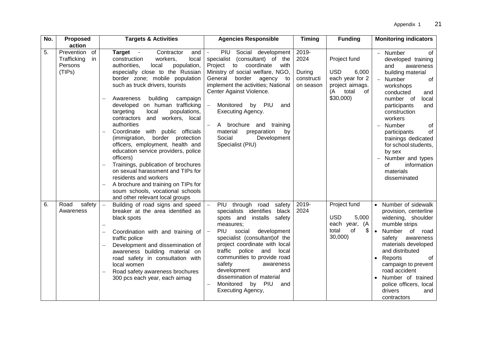| No. | <b>Proposed</b><br>action                                   | <b>Targets &amp; Activities</b>                                                                                                                                                                                                                                                                                                                                                                                                                                                                                                                                                                                                                                                                                                                                                                               | <b>Agencies Responsible</b>                                                                                                                                                                                                                                                                                                                                                                                                                                    | <b>Timing</b>                                      | <b>Funding</b>                                                                                             | <b>Monitoring indicators</b>                                                                                                                                                                                                                                                                                                                                              |  |
|-----|-------------------------------------------------------------|---------------------------------------------------------------------------------------------------------------------------------------------------------------------------------------------------------------------------------------------------------------------------------------------------------------------------------------------------------------------------------------------------------------------------------------------------------------------------------------------------------------------------------------------------------------------------------------------------------------------------------------------------------------------------------------------------------------------------------------------------------------------------------------------------------------|----------------------------------------------------------------------------------------------------------------------------------------------------------------------------------------------------------------------------------------------------------------------------------------------------------------------------------------------------------------------------------------------------------------------------------------------------------------|----------------------------------------------------|------------------------------------------------------------------------------------------------------------|---------------------------------------------------------------------------------------------------------------------------------------------------------------------------------------------------------------------------------------------------------------------------------------------------------------------------------------------------------------------------|--|
| 5.  | Prevention<br>of<br>Trafficking<br>in.<br>Persons<br>(TIPs) | <b>Target</b><br>Contractor<br>and<br>$\sim$ $-$<br>construction<br>workers,<br>local<br>authorities.<br>population,<br>local<br>especially close to the Russian<br>border zone; mobile population<br>such as truck drivers, tourists<br>Awareness<br>building<br>campaign<br>developed on human trafficking<br>populations,<br>targeting<br>local<br>and workers, local<br>contractors<br>authorities<br>Coordinate with public officials<br>$\qquad \qquad -$<br>(immigration, border protection<br>officers, employment, health and<br>education service providers, police<br>officers)<br>Trainings, publication of brochures<br>on sexual harassment and TIPs for<br>residents and workers<br>A brochure and training on TIPs for<br>soum schools, vocational schools<br>and other relevant local groups | Social development<br>PIU<br>specialist (consultant) of the<br>Project<br>to<br>coordinate<br>with<br>Ministry of social welfare, NGO,<br>border agency to<br>General<br>implement the activities; National<br>Center Against Violence.<br>Monitored by<br>PIU<br>$\overline{\phantom{0}}$<br>and<br>Executing Agency.<br>A brochure and<br>$\overline{\phantom{0}}$<br>training<br>material<br>preparation<br>by<br>Social<br>Development<br>Specialist (PIU) | 2019-<br>2024<br>During<br>constructi<br>on season | Project fund<br><b>USD</b><br>6,000<br>each year for 2<br>project aimags.<br>total<br>of<br>(A<br>\$30,000 | Number<br>of<br>developed training<br>and<br>awareness<br>building material<br>of<br>Number<br>workshops<br>conducted<br>and<br>number of<br>local<br>participants<br>and<br>construction<br>workers<br>Number<br>of<br>of<br>participants<br>trainings dedicated<br>for school students,<br>by sex<br>Number and types<br>information<br>οf<br>materials<br>disseminated |  |
| 6.  | Road<br>safety<br>Awareness                                 | Building of road signs and speed<br>$\overline{\phantom{0}}$<br>breaker at the area identified as<br>black spots<br>Coordination with and training of<br>$\overline{\phantom{0}}$<br>traffic police<br>Development and dissemination of<br>$\qquad \qquad -$<br>awareness building material on<br>road safety in consultation with<br>local women<br>Road safety awareness brochures<br>300 pcs each year, each aimag                                                                                                                                                                                                                                                                                                                                                                                         | PIU through road<br>safety<br>specialists identifies<br>black<br>spots and<br>installs<br>safety<br>measures;<br>PIU<br>social<br>development<br>specialist (consultant) of the<br>project coordinate with local<br>traffic<br>police<br>and<br>local<br>communities to provide road<br>safety<br>awareness<br>development<br>and<br>dissemination of material<br>Monitored<br>PIU<br>by<br>and<br>$\overline{\phantom{0}}$<br>Executing Agency,               | 2019-<br>2024                                      | Project fund<br><b>USD</b><br>5,000<br>each<br>year,<br>(A<br>\$<br>total<br>of<br>30,000)                 | Number of sidewalk<br>provision, centerline<br>widening, shoulder<br>mumble strips<br>$\bullet$<br>Number<br>of road<br>safety<br>awareness<br>materials developed<br>and distributed<br>of<br>Reports<br>campaign to prevent<br>road accident<br>Number of trained<br>police officers, local<br>drivers<br>and<br>contractors                                            |  |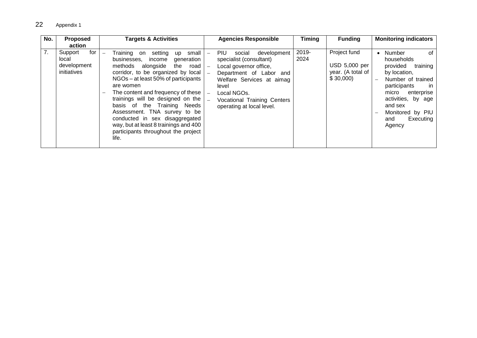| No.<br><b>Proposed</b>                                                | <b>Targets &amp; Activities</b>                                                                                                                                                                                                                                                                                                                                                                                                                                                                                  | <b>Agencies Responsible</b>                                                                                                                                                                                                           | <b>Timing</b> | <b>Funding</b>                                                 | <b>Monitoring indicators</b>                                                                                                                                                                                             |
|-----------------------------------------------------------------------|------------------------------------------------------------------------------------------------------------------------------------------------------------------------------------------------------------------------------------------------------------------------------------------------------------------------------------------------------------------------------------------------------------------------------------------------------------------------------------------------------------------|---------------------------------------------------------------------------------------------------------------------------------------------------------------------------------------------------------------------------------------|---------------|----------------------------------------------------------------|--------------------------------------------------------------------------------------------------------------------------------------------------------------------------------------------------------------------------|
| action<br>7.<br>for<br>Support<br>local<br>development<br>initiatives | setting<br>small l<br>Training<br>on<br>up<br>$\overline{\phantom{0}}$<br>income<br>businesses.<br>generation<br>alongside<br>the road<br>methods<br>corridor, to be organized by local<br>NGOs – at least 50% of participants<br>are women<br>The content and frequency of these<br>trainings will be designed on the<br>basis of the Training Needs<br>Assessment. TNA survey to be<br>conducted in sex disaggregated<br>way, but at least 8 trainings and 400<br>participants throughout the project<br>life. | PIU.<br>development<br>social<br>specialist (consultant)<br>Local governor office,<br>Department of Labor and<br>Welfare Services at aimag<br>level<br>Local NGOs.<br><b>Vocational Training Centers</b><br>operating at local level. | 2019-<br>2024 | Project fund<br>USD 5,000 per<br>year. (A total of<br>\$30,000 | Number<br>of<br>households<br>provided<br>training<br>by location,<br>Number of trained<br>participants<br>-in<br>micro<br>enterprise<br>activities, by age<br>and sex<br>Monitored by PIU<br>Executing<br>and<br>Agency |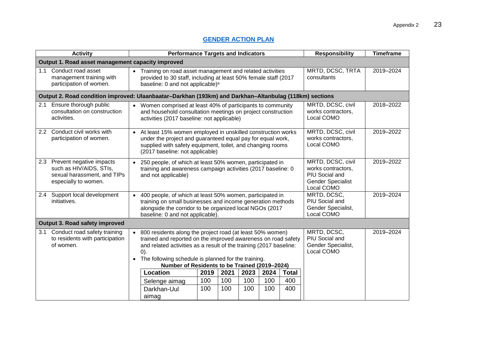# **[GENDER ACTION PLAN](http://www.adb.org/Documents/RRPs/?id=48186-005-3)**

| <b>Activity</b>                                                                                                | <b>Performance Targets and Indicators</b>                                                                                                                                                                                                                                                                                                                                                                                                                                                     | <b>Responsibility</b><br><b>Timeframe</b>                                                                        |  |  |  |  |  |
|----------------------------------------------------------------------------------------------------------------|-----------------------------------------------------------------------------------------------------------------------------------------------------------------------------------------------------------------------------------------------------------------------------------------------------------------------------------------------------------------------------------------------------------------------------------------------------------------------------------------------|------------------------------------------------------------------------------------------------------------------|--|--|--|--|--|
| Output 1. Road asset management capacity improved                                                              |                                                                                                                                                                                                                                                                                                                                                                                                                                                                                               |                                                                                                                  |  |  |  |  |  |
| Conduct road asset<br>1.1<br>management training with<br>participation of women.                               | • Training on road asset management and related activities<br>provided to 30 staff, including at least 50% female staff (2017<br>baseline: 0 and not applicable) <sup>a</sup>                                                                                                                                                                                                                                                                                                                 | MRTD, DCSC, TRTA<br>2019-2024<br>consultants                                                                     |  |  |  |  |  |
|                                                                                                                | Output 2. Road condition improved: Ulaanbaatar-Darkhan (193km) and Darkhan-Altanbulag (118km) sections                                                                                                                                                                                                                                                                                                                                                                                        |                                                                                                                  |  |  |  |  |  |
| 2.1 Ensure thorough public<br>consultation on construction<br>activities.                                      | Women comprised at least 40% of participants to community<br>and household consultation meetings on project construction<br>activities (2017 baseline: not applicable)                                                                                                                                                                                                                                                                                                                        | MRTD, DCSC, civil<br>2018-2022<br>works contractors,<br>Local COMO                                               |  |  |  |  |  |
| 2.2 Conduct civil works with<br>participation of women.                                                        | At least 15% women employed in unskilled construction works<br>under the project and guaranteed equal pay for equal work,<br>supplied with safety equipment, toilet, and changing rooms<br>(2017 baseline: not applicable)                                                                                                                                                                                                                                                                    | MRTD, DCSC, civil<br>2019-2022<br>works contractors,<br>Local COMO                                               |  |  |  |  |  |
| 2.3 Prevent negative impacts<br>such as HIV/AIDS, STIs,<br>sexual harassment, and TIPs<br>especially to women. | • 250 people, of which at least 50% women, participated in<br>training and awareness campaign activities (2017 baseline: 0<br>and not applicable)                                                                                                                                                                                                                                                                                                                                             | MRTD, DCSC, civil<br>2019-2022<br>works contractors.<br>PIU Social and<br><b>Gender Specialist</b><br>Local COMO |  |  |  |  |  |
| 2.4 Support local development<br>initiatives.                                                                  | 400 people, of which at least 50% women, participated in<br>$\bullet$<br>training on small businesses and income generation methods<br>alongside the corridor to be organized local NGOs (2017<br>baseline: 0 and not applicable).                                                                                                                                                                                                                                                            | MRTD, DCSC,<br>2019-2024<br>PIU Social and<br>Gender Specialist,<br>Local COMO                                   |  |  |  |  |  |
| Output 3. Road safety improved                                                                                 |                                                                                                                                                                                                                                                                                                                                                                                                                                                                                               |                                                                                                                  |  |  |  |  |  |
| Conduct road safety training<br>3.1<br>to residents with participation<br>of women.                            | 800 residents along the project road (at least 50% women)<br>trained and reported on the improved awareness on road safety<br>and related activities as a result of the training (2017 baseline:<br>(0).<br>• The following schedule is planned for the training.<br>Number of Residents to be Trained (2019-2024)<br>2021<br>Location<br>2023<br>2024<br><b>Total</b><br>2019<br>100<br>100<br>100<br>100<br>400<br>Selenge aimag<br>100<br>100<br>100<br>100<br>400<br>Darkhan-Uul<br>aimag | MRTD, DCSC,<br>2019-2024<br>PIU Social and<br>Gender Specialist,<br>Local COMO                                   |  |  |  |  |  |